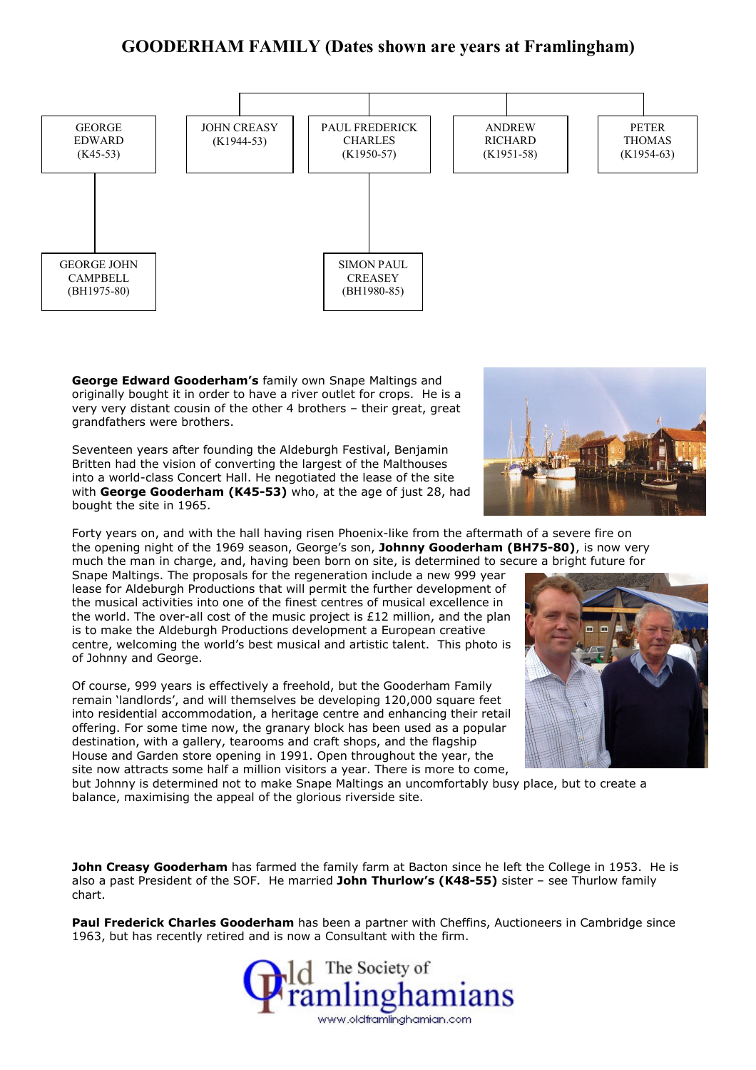## GOODERHAM FAMILY (Dates shown are years at Framlingham)



George Edward Gooderham's family own Snape Maltings and originally bought it in order to have a river outlet for crops. He is a very very distant cousin of the other 4 brothers – their great, great grandfathers were brothers.

Seventeen years after founding the Aldeburgh Festival, Benjamin Britten had the vision of converting the largest of the Malthouses into a world-class Concert Hall. He negotiated the lease of the site with George Gooderham (K45-53) who, at the age of just 28, had bought the site in 1965.



Forty years on, and with the hall having risen Phoenix-like from the aftermath of a severe fire on the opening night of the 1969 season, George's son, Johnny Gooderham (BH75-80), is now very much the man in charge, and, having been born on site, is determined to secure a bright future for

Snape Maltings. The proposals for the regeneration include a new 999 year lease for Aldeburgh Productions that will permit the further development of the musical activities into one of the finest centres of musical excellence in the world. The over-all cost of the music project is £12 million, and the plan is to make the Aldeburgh Productions development a European creative centre, welcoming the world's best musical and artistic talent. This photo is of Johnny and George.

Of course, 999 years is effectively a freehold, but the Gooderham Family remain 'landlords', and will themselves be developing 120,000 square feet into residential accommodation, a heritage centre and enhancing their retail offering. For some time now, the granary block has been used as a popular destination, with a gallery, tearooms and craft shops, and the flagship House and Garden store opening in 1991. Open throughout the year, the site now attracts some half a million visitors a year. There is more to come,



but Johnny is determined not to make Snape Maltings an uncomfortably busy place, but to create a balance, maximising the appeal of the glorious riverside site.

John Creasy Gooderham has farmed the family farm at Bacton since he left the College in 1953. He is also a past President of the SOF. He married John Thurlow's (K48-55) sister - see Thurlow family chart.

Paul Frederick Charles Gooderham has been a partner with Cheffins, Auctioneers in Cambridge since 1963, but has recently retired and is now a Consultant with the firm.